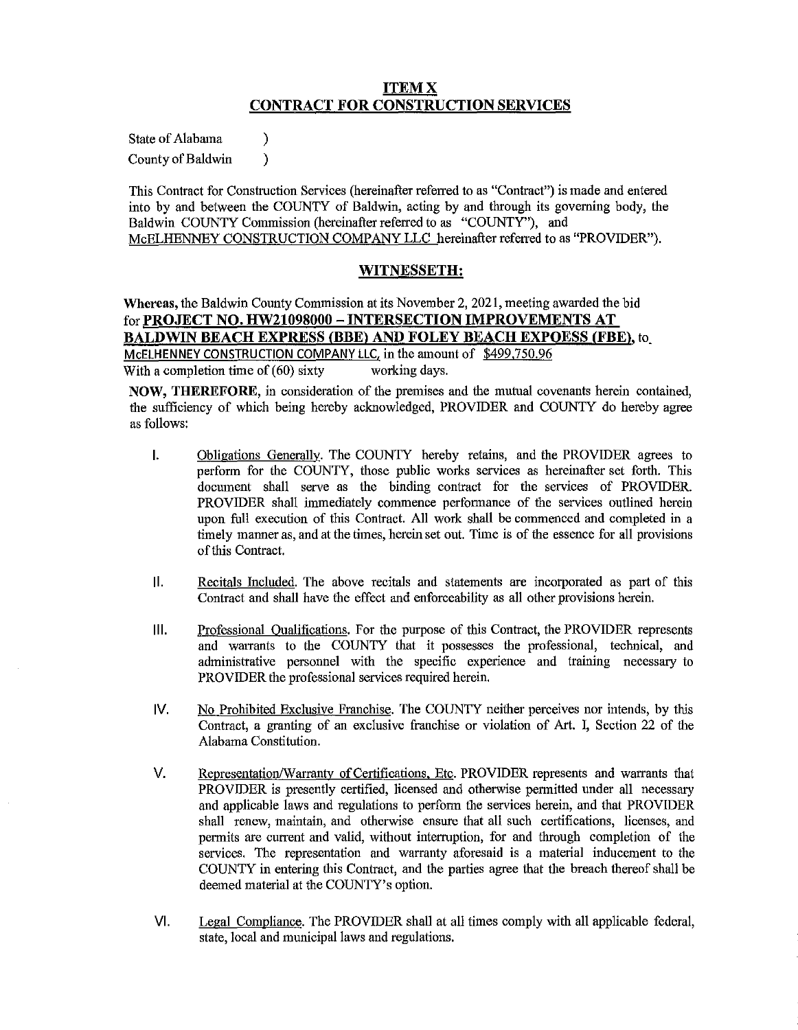# **ITEMX CONTRACT FOR CONSTRUCTION SERVICES**

State of Alabama (1)

County of Baldwin (1)

This Contract for Construction Services (hereinafter referred to as "Contract") is made and entered into by and between the COUNTY of Baldwin, acting by and through its governing body, the Baldwin COUNTY Commission (hereinafter referred to as "COUNTY"), and McELHENNEY CONSTRUCTION COMPANY LLC hereinafter referred to as "PROVIDER").

# **WITNESSETH:**

**Whereas,** the Baldwin County Commission at its November 2, 2021, meeting awarded the bid for **PROJECT NO. HW21098000 - INTERSECTION IMPROVEMENTS AT BALDWIN BEACH EXPRESS (BBE) AND FOLEY BEACH EXPOESS (FBE), to** McELHENNEY CONSTRUCTION COMPANY LLC. in the amount of \$499.750.96 With a completion time of  $(60)$  sixty working days.

**NOW, THEREFORE,** in consideration of the premises and the mutual covenants herein contained, the sufficiency of which being hereby acknowledged, PROVIDER and COUNTY do hereby agree as follows:

- I. Obligations Generally. The COUNTY hereby retains, and the PROVIDER agrees to perform for the COUNTY, those public works services as hereinafter set forth. This docmnent shall serve as the binding contract for the services of PROVIDER. PROVIDER shall immediately commence performance of the services outlined herein upon full execution of this Contract. All work shall be commenced and completed in a timely manner as, and at the times, herein set out. Time is of the essence for all provisions of this Contract.
- **11.** Recitals Included. The above recitals and statements are incorporated as part of this Contract and shall have the effect and enforceability as all other provisions herein.
- **Ill.** Professional Qualifications. For the purpose of this Contract, the PROVIDER represents and warrants to the COUNTY that it possesses the professional, technical, and administrative personnel with the specific experience and training necessary to PROVIDER the professional services required herein.
- IV. No Prohibited Exclusive Franchise. The COUNTY neither perceives nor intends, by this Contract, a granting of an exclusive franchise or violation of Art. I, Section 22 of the Alabama Constitution.
- V. Representation/Warranty of Certifications. Etc. PROVIDER represents and warrants that PROVIDER is presently certified, licensed and otherwise permitted under all necessary and applicable laws and regulations to perform the services herein, and that PROVIDER shall renew, maintain, and otherwise ensure that all such certifications, licenses, and permits are current and valid, without interruption, for and through completion of the services. The representation and warranty aforesaid is a material inducement to the COUNTY in entering this Contract, and the parties agree that the breach thereof shall be deemed material at the COUNTY's option.
- VI. Legal Compliance. The PROVIDER shall at all times comply with all applicable federal, state, local and municipal laws and regulations.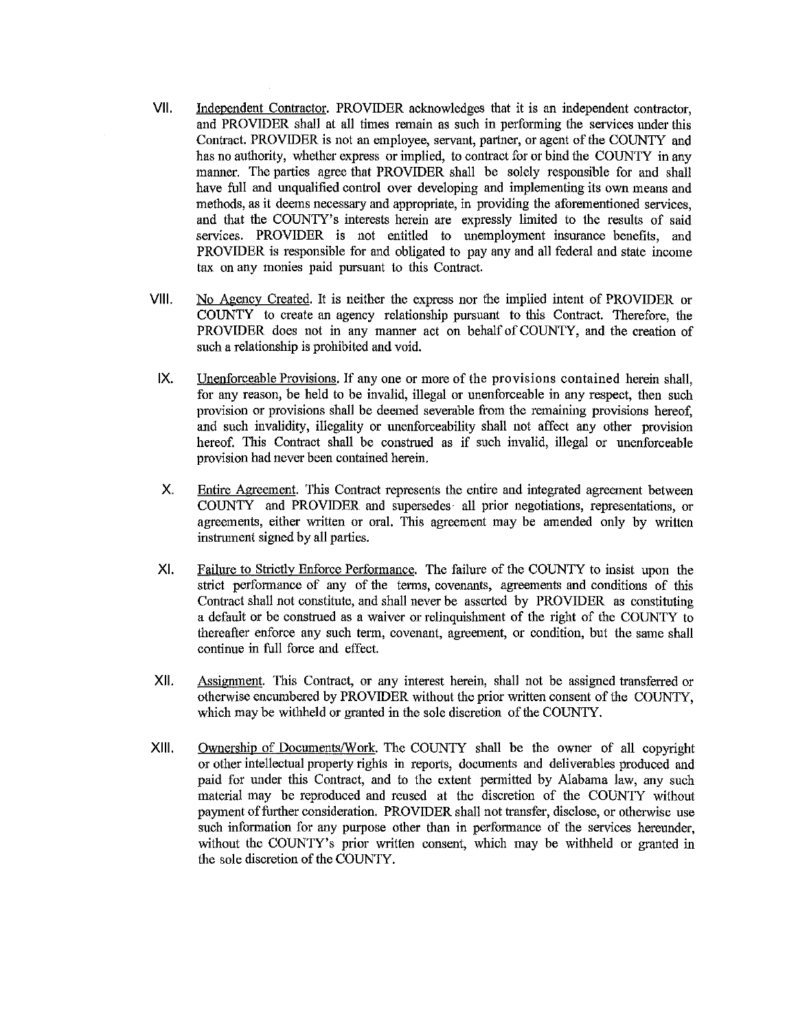- VII. Independent Contractor. PROVIDER acknowledges that it is an independent contractor, and PROVIDER shall at all times remain as such in performing the services under this Contract. PROVIDER is not an employee, servant, partner, or agent of the COUNTY and has no authority, whether express or implied, to contract for or bind the COUNTY in any manner. The parties agree that PROVIDER shall be solely responsible for and shall have full and unqualified control over developing and implementing its own means and methods, as it deems necessary and appropriate, in providing the aforementioned services, and that the COUNTY's interests herein are expressly limited to the results of said services. PROVIDER is not entitled to unemployment insurance benefits, and PROVIDER is responsible for and obligated to pay any and all federal and state income tax on any monies paid pursuant to this Contract.
- VIII. No Agency Created. It is neither the express nor the implied intent of PROVIDER or COUNTY to create an agency relationship pursuant to this Contract. Therefore, the PROVIDER does not in any manner act on behalf of COUNTY, and the creation of such a relationship is prohibited and void.
- IX. Unenforceable Provisions. If any one or more of the provisions contained herein shall, for any reason, be held to be invalid, illegal or unenforceable in any respect, then such provision or provisions shall be deemed severable from the remaining provisions hereof, and such invalidity, illegality or unenforceability shall not affect any other provision hereof. This Contract shall be construed as if such invalid, illegal or unenforceable provision had never been contained herein.
- X. Entire Agreement. This Contract represents the entire and integrated agreement between COUNTY and PROVIDER and supersedes all prior negotiations, representations, or agreements, either written or oral. This agreement may be amended only by written instrument signed by all parties.
- XI. Failure to Strictly Enforce Performance. The failure of the COUNTY to insist upon the strict performance of any of the terms, covenants, agreements and conditions of this Contract shall not constitute, and shall never be asserted by PROVIDER as constituting a default or be construed as a waiver or relinquishment of the right of the COUNTY to thereafter enforce any such term, covenant, agreement, or condition, but the same shall continue in full force and effect.
- XII. Assignment. This Contract, or any interest herein, shall not be assigned transferred or otherwise encumbered by PROVIDER without the prior written consent of the COUNTY, which maybe withheld or granted in the sole discretion of the COUNTY.
- XIII. Ownership of Documents/Work. The COUNTY shall be the owner of all copyright or other intellectual property rights in reports, documents and deliverables produced and paid for under this Contract, and to the extent pennitted by Alabama law, any such material may be reproduced and reused at the discretion of the COUNTY without payment of further consideration. PROVIDER shall not transfer, disclose, or otherwise use such infonnation for any purpose other than in performance of the services hereunder, without the COUNTY's prior written consent, which may be withheld or granted in the sole discretion of the COUNTY.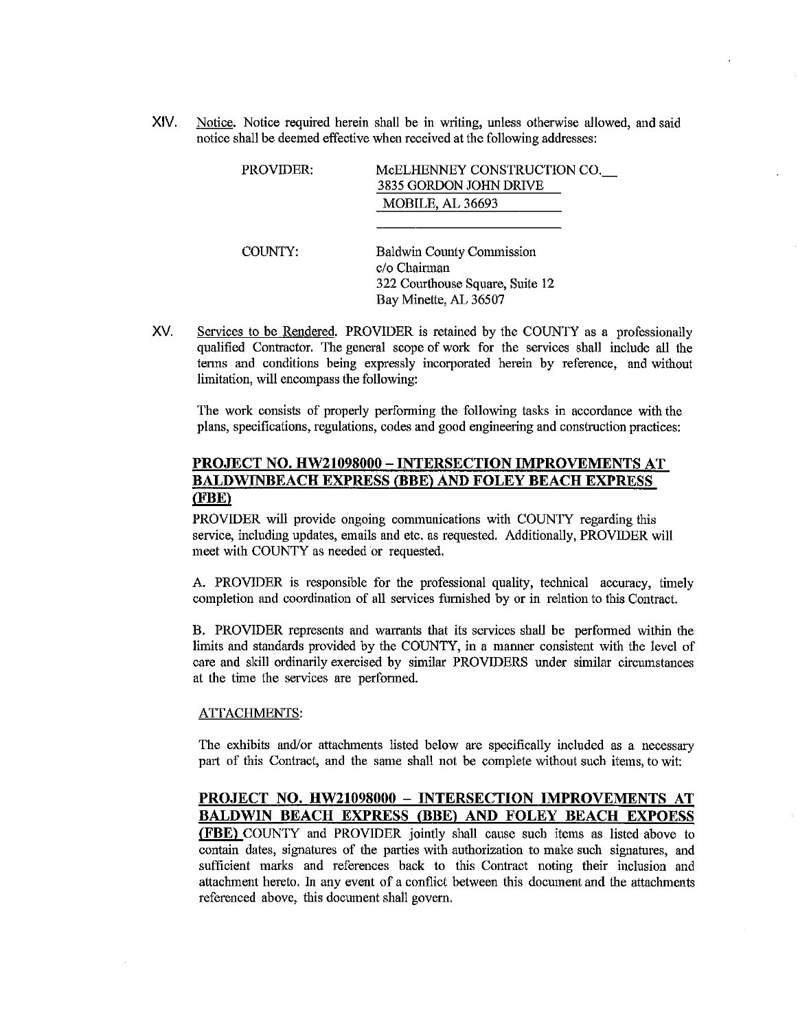XIV. Notice. Notice required herein shall be in writing, unless otherwise allowed, and said notice shall be deemed effective when received at the following addresses:

| <b>PROVIDER:</b> | MCELHENNEY CONSTRUCTION CO.<br>3835 GORDON JOHN DRIVE<br><b>MOBILE, AL 36693</b>                             |
|------------------|--------------------------------------------------------------------------------------------------------------|
| <b>COUNTY:</b>   | <b>Baldwin County Commission</b><br>c/o Chairman<br>322 Courthouse Square, Suite 12<br>Bay Minette, AL 36507 |

XV. Services to be Rendered. PROVIDER is retained by the COUNTY as a professionally qualified Contractor. The general scope of work for the services shall include all the tenns and conditions being expressly incorporated herein by reference, and without limitation, will encompass the following:

The work consists of properly performing the following tasks in accordance with the plans, specifications, regulations, codes and good engineering and construction practices:

## **PROJECT NO. HW21098000 - INTERSECTION IMPROVEMENTS AT BALDWINBEACH EXPRESS (BBE) AND FOLEY BEACH EXPRESS (FBE)**

PROVIDER will provide ongoing communications with COUNTY regarding this service, including updates, emails and etc. as requested. Additionally, PROVIDER will meet with COUNTY as needed or requested.

A. PROVIDER is responsible for the professional quality, technical accuracy, timely completion and coordination of all services furnished by or in relation to this Contract.

B. PROVIDER represents and warrants that its services shall be perfonned within the limits and standards provided by the COUNTY, in a manner consistent with the level of care and skill ordinarily exercised by similar PROVIDERS under similar circumstances at the time the services are performed.

#### ATTACHMENTS:

The exhibits and/or attachments listed below are specifically included as a necessary part of this Contract, and the same shall not be complete without such items, to wit:

# **PROJECT NO. HW21098000 - INTERSECTION IMPROVEMENTS AT BALDWIN BEACH EXPRESS (BBE) AND FOLEY BEACH EXPOESS**

**(FBE)** COUNTY and PROVIDER jointly shall cause such items as listed above to contain dates, signatures of the parties with authorization to make such signatures, and sufficient marks and references back to this Contract noting their inclusion and attaclnnent hereto. In any event of a conflict between this document and the attaclnnents referenced above, this document shall govern.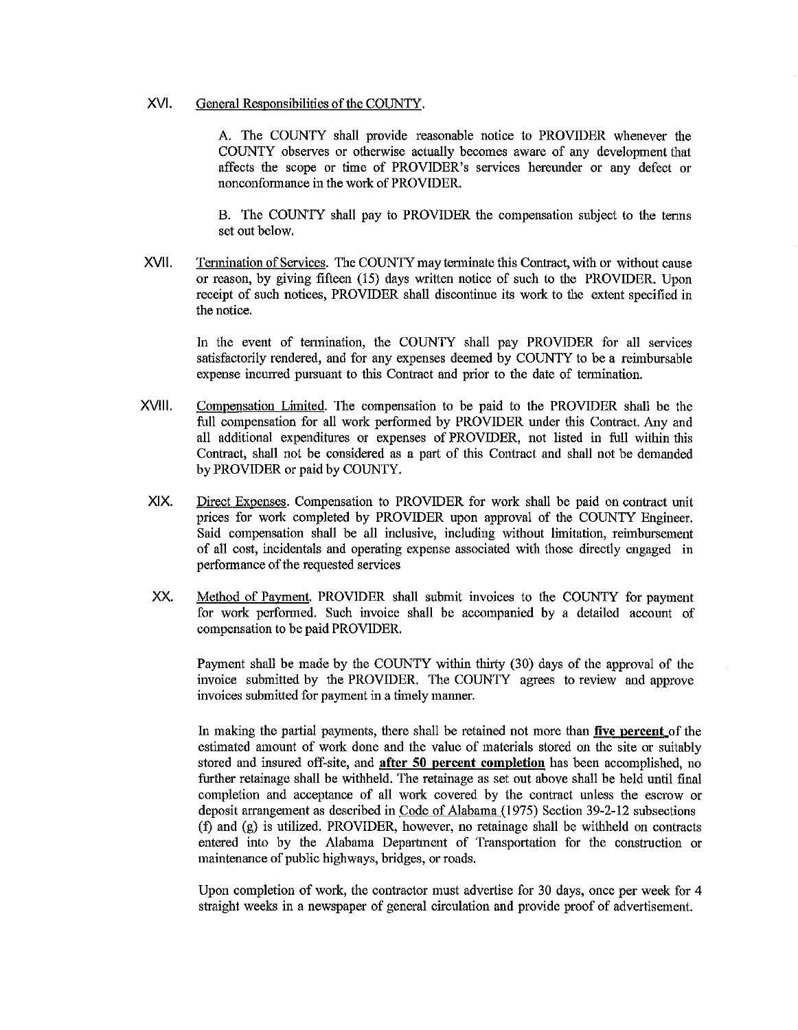## XVI. General Responsibilities of the COUNTY.

A. The COUNTY shall provide reasonable notice to PROVIDER whenever the COUNTY observes or otherwise actually becomes aware of any development that affects the scope or time of PROVIDER's services hereunder or any defect or nonconformance in the work of PROVIDER.

B. The COUNTY shall pay to PROVIDER the compensation subject to the terms set out below.

XVII. Termination of Services. The COUNTY may terminate this Contract, with or without cause or reason, by giving fifteen (15) days written notice of such to the PROVIDER. Upon receipt of such notices, PROVIDER shall discontinue its work to the extent specified in the notice.

In the event of tennination, the COUNTY shall pay PROVIDER for all services satisfactorily rendered, and for any expenses deemed by COUNTY to be a reimbursable expense incurred pursuant to this Contract and prior to the date of tennination.

- XVIII. Compensation Limited. The compensation to be paid to the PROVIDER shall be the full compensation for all work performed by PROVIDER under this Contract. Any and all additional expenditures or expenses of PROVIDER, not listed in full within this Contract, shall not be considered as a part of this Contract and shall not be demanded by PROVIDER or paid by COUNTY.
- XIX. Direct Expenses. Compensation to PROVIDER for work shall be paid on contract unit prices for work completed by PROVIDER upon approval of the COUNTY Engineer. Said compensation shall be all inclusive, including without limitation, reimbursement of all cost, incidentals and operating expense associated with those directly engaged in performance of the requested services
- XX. Method of Payment. PROVIDER shall submit invoices to the COUNTY for payment for work performed. Such invoice shall be accompanied by a detailed account of compensation to be paid PROVIDER.

Payment shall be made by the COUNTY within thirty (30) days of the approval of the invoice submitted by the PROVIDER. The COUNTY agrees to review and approve invoices submitted for payment in a timely manner.

In making the partial payments, there shall be retained not more than **five percent** of the estimated amount of work done and the value of materials stored on the site or suitably stored and insured off-site, and **after 50 percent completion** has been accomplished, no further retainage shall be withheld. The retainage as set out above shall be held until final completion and acceptance of all work covered by the contract unless the escrow or deposit arrangement as described in Code of Alabama (1975) Section 39-2-12 subsections (f) and (g) is utilized. PROVIDER, however, no retainage shall be withheld on contracts entered into by the Alabama Department of Transportation for the construction or maintenance of public highways, bridges, or roads.

Upon completion of work, the contractor must advertise for 30 days, once per week for 4 straight weeks in a newspaper of general circulation and provide proof of advertisement.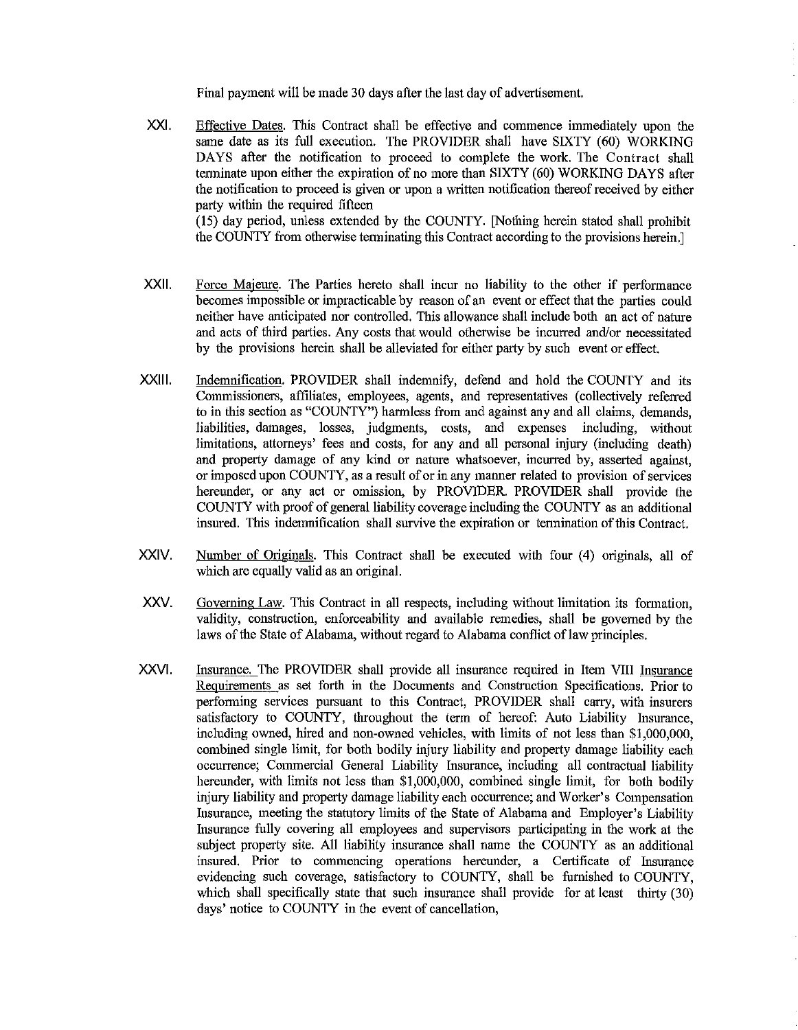Final payment will be made 30 days after the last day of advertisement.

- XXI. Effective Dates. This Contract shall be effective and commence immediately upon the same date as its full execution. The PROVIDER shall have SIXTY (60) WORKING DAYS after the notification to proceed to complete the work. The Contract shall terminate upon either the expiration of no more than SIXTY (60) WORKING DAYS after the notification to proceed is given or upon a written notification thereofreceived by either party within the required fifteen (15) day period, unless extended by the COUNTY. [Nothing herein stated shall prohibit the COUNTY from otherwise tenninating this Contract according to the provisions herein.]
- XXll. Force Majeure. The Parties hereto shall incur no liability to the other if performance becomes impossible or impracticable by reason of an event or effect that the parties could neither have anticipated nor controlled. This allowance shall include both an act of nature and acts of third parties. Any costs that would otherwise be incurred and/or necessitated by the provisions herein shall be alleviated for either party by such event or effect.
- XXlll. Indemnification. PROVIDER shall indemnify, defend and hold the COUNTY and its Commissioners, affiliates, employees, agents, and representatives (collectively referred to in this section as "COUNTY") harmless from and against any and all claims, demands, liabilities, damages, losses, judgments, costs, and expenses including, without limitations, attorneys' fees and costs, for any and all personal injury (including death) and property damage of any kind or nature whatsoever, incurred by, asserted against, or imposed upon COUNTY, as a result of or in any manner related to provision of services hereunder, or any act or omission, by PROVIDER. PROVIDER shall provide the COUNTY with proof of general liability coverage including the COUNTY as an additional insured. This indemnification shall survive the expiration or tennination of this Contract.
- XXIV. Number of Originals. This Contract shall be executed with four (4) originals, all of which are equally valid as an original.
- xxv. Governing Law. This Contract in all respects, including without limitation its fonnation, validity, construction, enforceability and available remedies, shall be governed by the laws of the State of Alabama, without regard to Alabama conflict of law principles.
- XXVI. Insurance. The PROVIDER shall provide all insurance required in Item VIII Insurance Requirements as set forth in the Documents and Construction Specifications. Prior to performing services pursuant to this Contract, PROVIDER shall carry, with insurers satisfactory to COUNTY, throughout the term of hereof: Auto Liability Insurance, including owned, hired and non-owned vehicles, with limits of not less than \$1,000,000, combined single limit, for both bodily injury liability and property damage liability each occurrence; Commercial General Liability Insurance, including all contractual liability hereunder, with limits not less than \$1,000,000, combined single limit, for both bodily injury liability and property damage liability each occurrence; and Worker's Compensation Insurance, meeting the statutory limits of the State of Alabama and Employer's Liability Insurance fully covering all employees and supervisors participating in the work at the subject property site. All liability insurance shall name the COUNTY as an additional insured. Prior to commencing operations hereunder, a Certificate of Insurance evidencing such coverage, satisfactory to COUNTY, shall be furnished to COUNTY, which shall specifically state that such insurance shall provide for at least thirty (30) days' notice to COUNTY in the event of cancellation,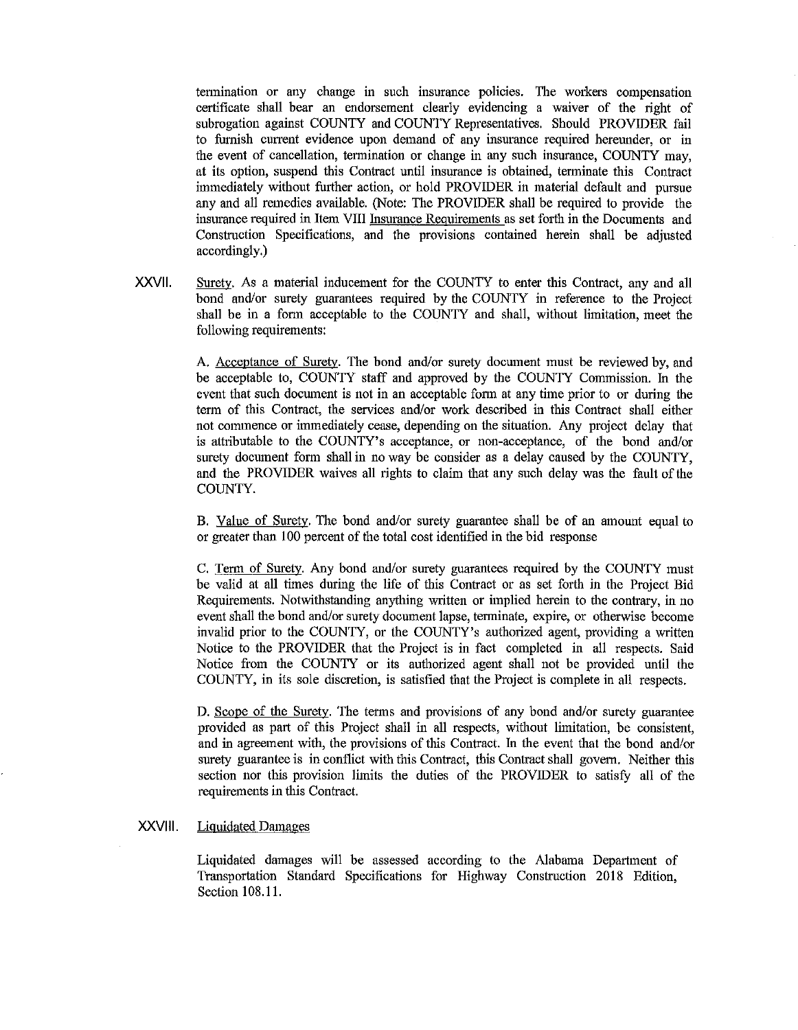termination or any change in such insurance policies. The workers compensation certificate shall bear an endorsement clearly evidencing a waiver of the right of subrogation against COUNTY and COUNTY Representatives. Should PROVIDER fail to furnish current evidence upon demand of any insurance required hereunder, or in the event of cancellation, termination or change in any such insurance, COUNTY may, at its option, suspend this Contract until insurance is obtained, terminate this Contract immediately without further action, or hold PROVIDER in material default and pursue any and all remedies available. (Note: The PROVIDER shall be required to provide the insurance required in Item VIII Insurance Requirements as set fotih in the Documents and Construction Specifications, and the provisions contained herein shall be adjusted accordingly.)

XXVll. Surety. As a material inducement for the COUNTY to enter this Contract, any and all bond and/or surety guarantees required by the COUNTY in reference to the Project shall be in a fonn acceptable to the COUNTY and shall, without limitation, meet the following requirements:

> A. Acceptance of Surety. The bond and/or surety document must be reviewed by, and be acceptable to, COUNTY staff and approved by the COUNTY Commission. In the event that such document is not in an acceptable form at any time prior to or during the term of this Contract, the services and/or work described in this Contract shall either not commence or immediately cease, depending on the situation. Any project delay that is attributable to the COUNTY's acceptance, or non-acceptance, of the bond and/or surety document form shall in no way be consider as a delay caused by the COUNTY, and the PROVIDER waives all rights to claim that any such delay was the fault of the COUNTY.

> B. Value of Surety. The bond and/or surety guarantee shall be of an amount equal to or greater than I 00 percent of the total cost identified in the bid response

> C. Term of Surety. Any bond and/or surety guarantees required by the COUNTY must be valid at all times during the life of this Contract or as set forth in the Project Bid Requirements. Notwithstanding anything written or implied herein to the contrary, in no event shall the bond and/or surety document lapse, tenninate, expire, or otherwise become invalid prior to the COUNTY, or the COUNTY's authorized agent, providing a written Notice to the PROVIDER that the Project is in fact completed in all respects. Said Notice from the COUNTY or its authorized agent shall not be provided until the COUNTY, in its sole discretion, is satisfied that the Project is complete in all respects.

> D. Scope of the Surety. The terms and provisions of any bond and/or surety guarantee provided as part of this Project shall in all respects, without limitation, be consistent, and in agreement with, the provisions of this Contract. In the event that the bond and/or surety guarantee is in conflict with this Contract, this Contract shall govern. Neither this section nor this provision limits the duties of the PROVIDER to satisfy all of the requirements in this Contract.

## XXVlll. Liquidated Damages

Liquidated damages will be assessed according to the Alabama Department of Transportation Standard Specifications for Highway Construction 2018 Edition, Section 108 .11.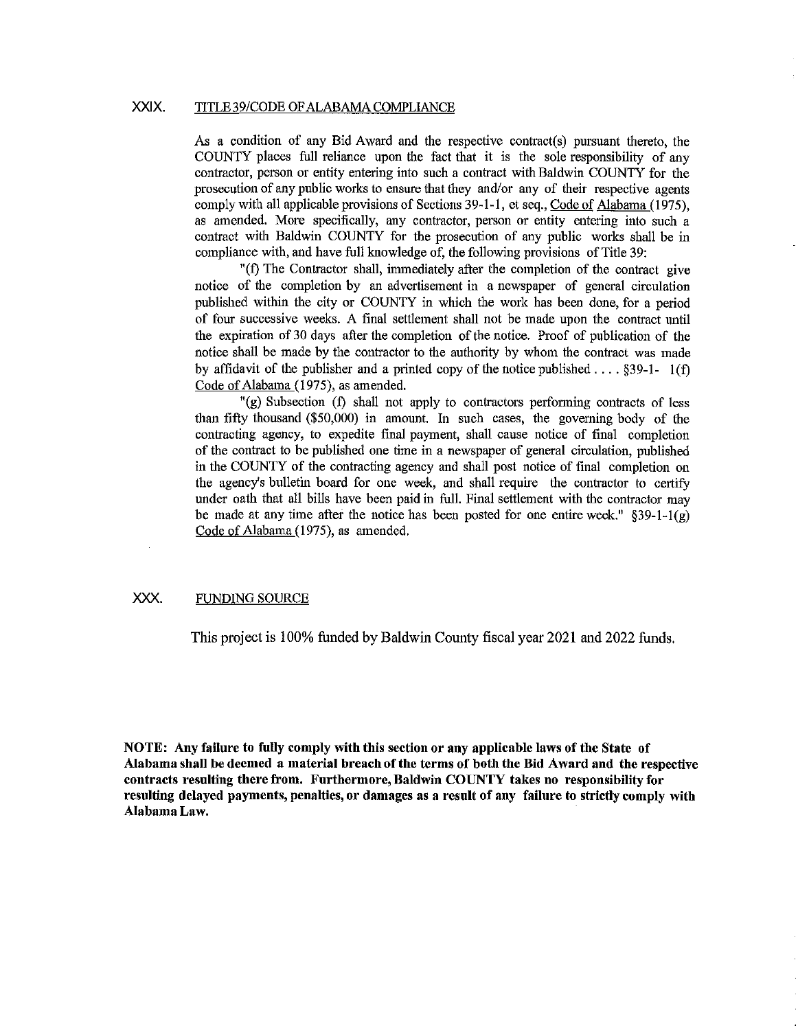## XXIX. TITLE 39/CODE OF ALABAMA COMPLIANCE

As a condition of any Bid Award and the respective contract(s) pursuant thereto, the COUNTY places full reliance upon the fact that it is the sole responsibility of any contractor, person or entity entering into such a contract with Baldwin COUNTY for the prosecution of any public works to ensure that they and/or any of their respective agents comply with all applicable provisions of Sections 39-1-1, et seq., Code of Alabama (1975), as amended. More specifically, any contractor, person or entity entering into such a contract with Baldwin COUNTY for the prosecution of any public works shall be in compliance with, and have full knowledge of, the following provisions of Title 39:

"(f) The Contractor shall, immediately after the completion of the contract give notice of the completion by an advertisement in a newspaper of general circulation published within the city or COUNTY in which the work has been done, for a period of four successive weeks. A final settlement shall not be made upon the contract until the expiration of 30 days after the completion of the notice. Proof of publication of the notice shall be made by the contractor to the authority by whom the contract was made by affidavit of the publisher and a printed copy of the notice published ...  $\frac{839-1-1(f)}{2}$ Code of Alabama (1975), as amended.

"(g) Subsection (f) shall not apply to contractors perfonning contracts of less than fifty thousand (\$50,000) in amount. In such cases, the governing body of the contracting agency, to expedite final payment, shall cause notice of final completion of the contract to be published one time iu a newspaper of general circulation, published in the COUNTY of the contracting agency and shall post notice of final completion on the agency's bulletin board for one week, aud shall require the contractor to certify under oath that all bills have been paid in full. Final settlement with the contractor may be made at any time after the notice has been posted for one entire week."  $\S 39-1-1(g)$ Code of Alabama (1975), as amended.

## XXX. FUNDING SOURCE

This project is 100% funded by Baldwin County fiscal year 2021 and 2022 funds.

**NOTE: Any failure to fully comply with this section or any applicable laws of the State of Alabama shall be deemed a material breach of the terms of both the Bid Award and the respective contracts resulting there from. Furthermore, Baldwin COUNTY takes no responsibility for resulting delayed payments, penalties, or damages as a result of any failure to strictly comply with Alabama Law.**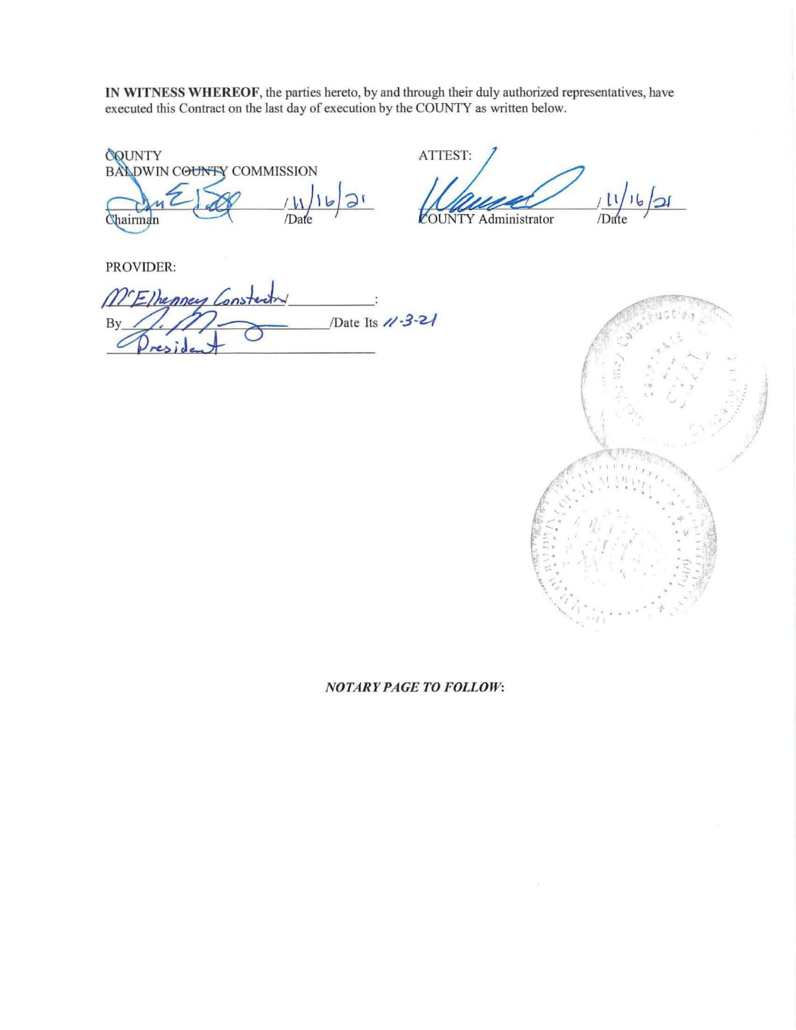IN WITNESS WHEREOF, the parties hereto, by and through their duly authorized representatives, have executed this Contract on the last day of execution by the COUNTY as written below.

COUNTY<br>BALDWIN COUNTY COMMISSION /Date Chairman

ATTEST:  $\overline{\mathcal{A}}$ /Date **OUNTY Administrator** 

PROVIDER:

METhenney Constan /Date Its 11-3-21 By



## **NOTARY PAGE TO FOLLOW:**